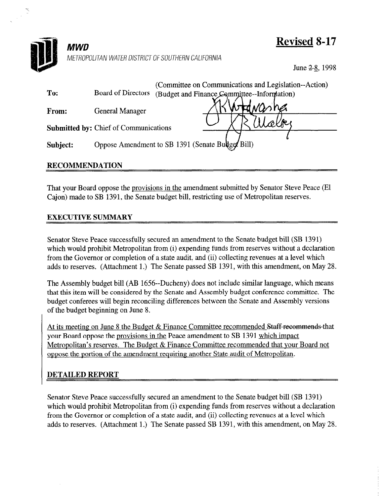

**MWD** METROPOLITAN WATER DISTRICT OF SOUTHERN CALIFORNIA Revised 8-17

June 2-8, 1998

| To:      | Board of Directors                           | (Committee on Communications and Legislation--Action)<br>(Budget and Finance Committee--Information) |
|----------|----------------------------------------------|------------------------------------------------------------------------------------------------------|
| From:    | <b>General Manager</b>                       | vasher                                                                                               |
|          | <b>Submitted by: Chief of Communications</b> |                                                                                                      |
| Subject: |                                              | Oppose Amendment to SB 1391 (Senate Bullge/ Bill)                                                    |

## RECOMMENDATION

That your Board oppose the provisions in the amendment submitted by Senator Steve Peace (El Cajon) made to SB 1391, the Senate budget bill, restricting use of Metropolitan reserves,

## EXECUTIVE SUMMARY

Senator Steve Peace successfully secured an amendment to the Senate budget bill (SB 1391)  $\frac{1}{2}$  behave the successionly seemed an amendment to the senate budget on  $(3D+1)$ which would promote metropolitan from (i) expending runds from reserves while a decided from the Governor or completion of a state audit, and (ii) collecting revenues at a level which adds to reserves. (Attachment 1.) The Senate passed SB 1391, with this amendment, on May 28.

The Assembly budget bill (AB 1656--Ducheny) does not include similar language, which means The Assembly budget blir (AB 1050-Duclieny) does not include similar language, which inclus that this item will be considered by the Senate and Assembly budget conference committee. The budget conferees will begin reconciling differences between the Senate and Assembly versions of the budget beginning on June 8.

At its meeting on June 8 the Budget  $\&$  Finance Committee recommended Staff recommends that your Board oppose the provisions in the Peace amendment to SB 1391 which impact Metropolitan's reserves. The Budget  $&$  Finance Committee recommended that your Board not oppose the portion of the amendment requiring another State audit of Metropolitan.

## **DETAILED REPORT**

Senator Steve Peace successfully secured an amendment to the Senate budget bill (SB 1391) which would prohibit Metropolitan from (i) expending funds from reserves without a declaration from the Governor or completion of a state audit, and (ii) collecting revenues at a level which adds to reserves. (Attachment 1.) The Senate passed SB 1391, with this amendment, on May 28.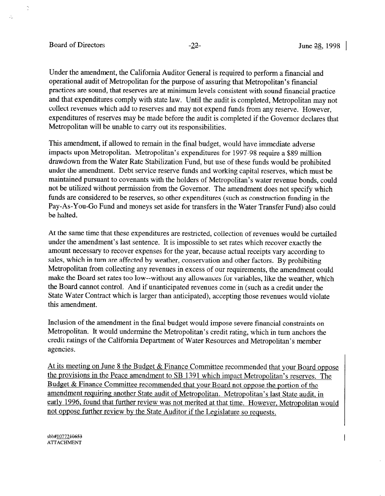## Board of Directors  $-22$ - $\overline{2}$  June 28, 1998

ð

 $\mathcal{L}$ 

Under the amendment, the California Auditor General is required to perform a financial and operational audit of Metropolitan for the purpose of assuring that Metropolitan's financial practices are sound, that reserves are at minimum levels consistent with sound financial practice and that expenditures comply with state law. Until the-audit is completed, Metropolitan may not collect revenues which add to reserves and may not expend funds from any reserve. However, expenditures of reserves may be made before the audit is completed if the Governor declares that Metropolitan will be unable to carry out its responsibilities.

This amendment, if allowed to remain in the final budget, would have immediate adverse impacts upon Metropolitan. Metropolitan's expenditures for 1997-98 require a \$89 million drawdown from the Water Rate Stabilization Fund, but use of these funds would be prohibited under the amendment. Debt service reserve funds and working capital reserves, which must be maintained pursuant to covenants with the holders of Metropolitan's water revenue bonds, could not be utilized without permission from the Governor. The amendment does not specify which funds are considered to be reserves, so other expenditures (such as construction funding in the Pay-As-You-Go Fund and moneys set aside for transfers in the Water Transfer Fund) also could be halted.

At the same time that these expenditures are restricted, collection of revenues would be curtailed under the amendment's last sentence. It is impossible to set rates which recover exactly the amount necessary to recover expenses for the year, because actual receipts vary according to sales, which in turn are affected by weather, conservation and other factors. By prohibiting Metropolitan from collecting any revenues in excess of our requirements, the amendment could make the Board set rates too low--without any allowances for variables, like the weather, which the Board cannot control. And if unanticipated revenues come in (such as a credit under the State Water Contract which is larger than anticipated), accepting those revenues would violate this amendment.

Inclusion of the amendment in the final budget would impose severe financial constraints on Metropolitan. It would undermine the Metropolitan's credit rating, which in turn anchors the credit ratings of the California Department of Water Resources and Metropolitan's member agencies.

At its meeting on June 8 the Budget & Finance Committee recommended that your Board oppose the provisions in the Peace amendment to SB 1391 which impact Metropolitan's reserves. The Budget & Finance Committee recommended that your Board not oppose the portion of the amendment requiring another State audit of Metropolitan. Metropolitan's last State audit, in earlv 1996. found that further review was not merited at that time. However, Metropolitan would not oppose further review bv the State Auditor if the Legislature so requests.